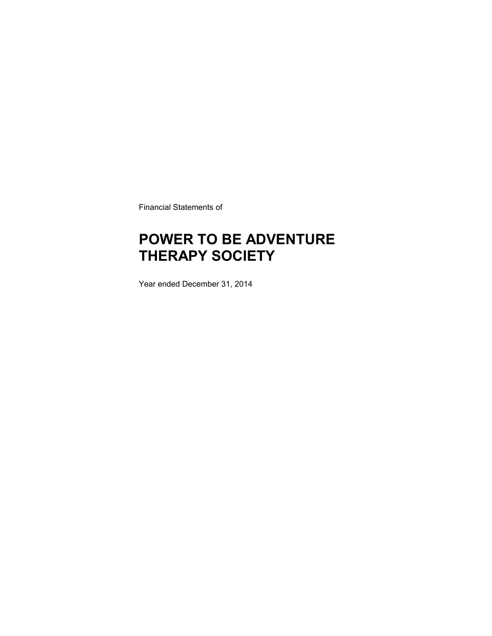Financial Statements of

### **POWER TO BE ADVENTURE THERAPY SOCIETY**

Year ended December 31, 2014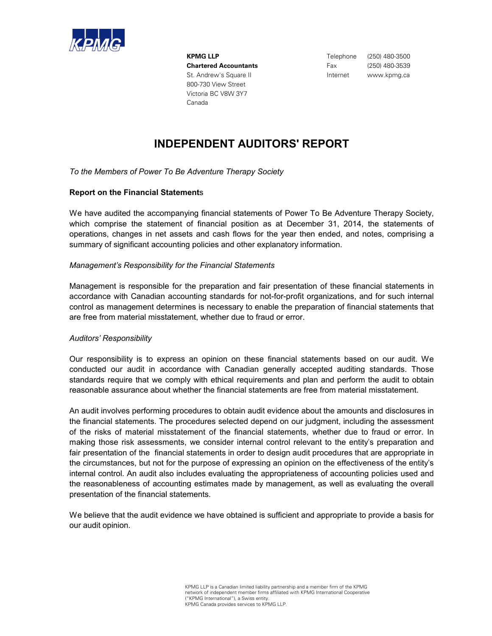

**KPMG LLP** Telephone (250) 480-3500 **Chartered Accountants** Fax (250) 480-3539 St. Andrew's Square II and the state of the linternet www.kpmg.ca 800-730 View Street Victoria BC V8W 3Y7 Canada

### **INDEPENDENT AUDITORS' REPORT**

*To the Members of Power To Be Adventure Therapy Society*

### **Report on the Financial Statement**s

We have audited the accompanying financial statements of Power To Be Adventure Therapy Society, which comprise the statement of financial position as at December 31, 2014, the statements of operations, changes in net assets and cash flows for the year then ended, and notes, comprising a summary of significant accounting policies and other explanatory information.

#### *Management's Responsibility for the Financial Statements*

Management is responsible for the preparation and fair presentation of these financial statements in accordance with Canadian accounting standards for not-for-profit organizations, and for such internal control as management determines is necessary to enable the preparation of financial statements that are free from material misstatement, whether due to fraud or error.

#### *Auditors' Responsibility*

Our responsibility is to express an opinion on these financial statements based on our audit. We conducted our audit in accordance with Canadian generally accepted auditing standards. Those standards require that we comply with ethical requirements and plan and perform the audit to obtain reasonable assurance about whether the financial statements are free from material misstatement.

An audit involves performing procedures to obtain audit evidence about the amounts and disclosures in the financial statements. The procedures selected depend on our judgment, including the assessment of the risks of material misstatement of the financial statements, whether due to fraud or error. In making those risk assessments, we consider internal control relevant to the entity's preparation and fair presentation of the financial statements in order to design audit procedures that are appropriate in the circumstances, but not for the purpose of expressing an opinion on the effectiveness of the entity's internal control. An audit also includes evaluating the appropriateness of accounting policies used and the reasonableness of accounting estimates made by management, as well as evaluating the overall presentation of the financial statements.

We believe that the audit evidence we have obtained is sufficient and appropriate to provide a basis for our audit opinion.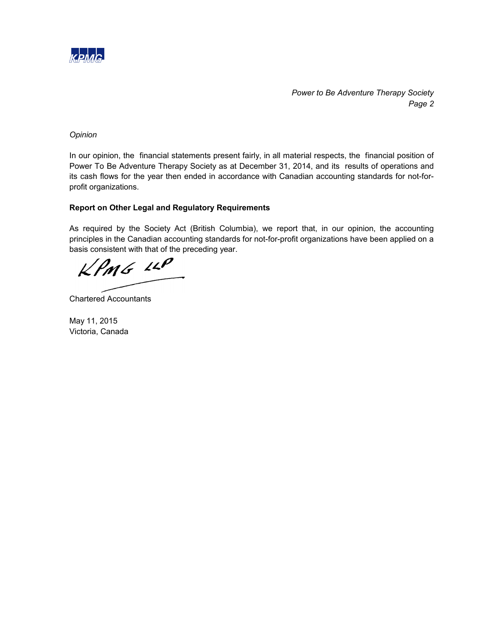

*Power to Be Adventure Therapy Society Page 2*

*Opinion*

In our opinion, the financial statements present fairly, in all material respects, the financial position of Power To Be Adventure Therapy Society as at December 31, 2014, and its results of operations and its cash flows for the year then ended in accordance with Canadian accounting standards for not-forprofit organizations.

### **Report on Other Legal and Regulatory Requirements**

As required by the Society Act (British Columbia), we report that, in our opinion, the accounting principles in the Canadian accounting standards for not-for-profit organizations have been applied on a basis consistent with that of the preceding year.

KPMG LLP

Chartered Accountants

May 11, 2015 Victoria, Canada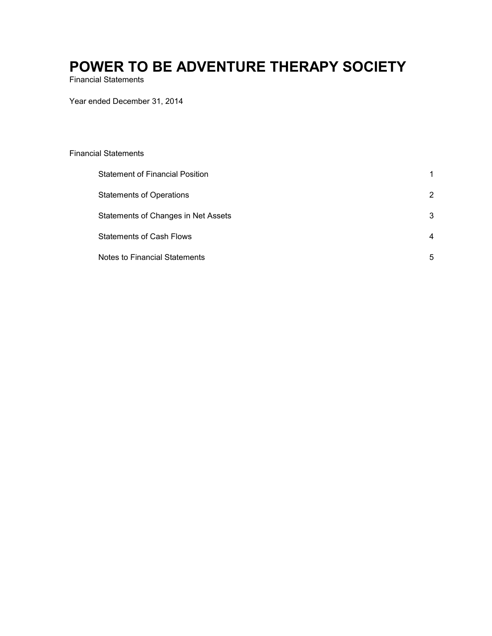Financial Statements

Year ended December 31, 2014

#### Financial Statements

| Statement of Financial Position      |                |
|--------------------------------------|----------------|
| <b>Statements of Operations</b>      | 2              |
| Statements of Changes in Net Assets  | 3              |
| <b>Statements of Cash Flows</b>      | $\overline{4}$ |
| <b>Notes to Financial Statements</b> | 5              |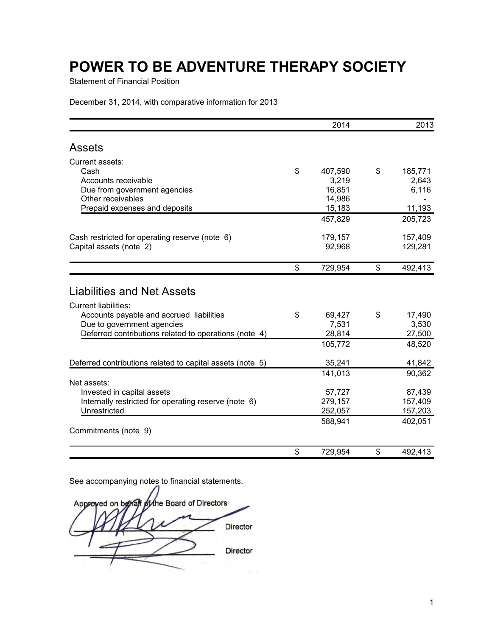Statement of Financial Position

December 31, 2014, with comparative information for 2013

|                                                           | 2014          | 2013          |
|-----------------------------------------------------------|---------------|---------------|
| <b>Assets</b>                                             |               |               |
| Current assets:                                           |               |               |
| Cash                                                      | \$<br>407,590 | \$<br>185,771 |
| Accounts receivable                                       | 3,219         | 2,643         |
| Due from government agencies                              | 16,851        | 6,116         |
| Other receivables                                         | 14,986        |               |
| Prepaid expenses and deposits                             | 15,183        | 11,193        |
|                                                           | 457,829       | 205,723       |
| Cash restricted for operating reserve (note 6)            | 179,157       | 157,409       |
| Capital assets (note 2)                                   | 92,968        | 129,281       |
|                                                           | \$<br>729,954 | \$<br>492,413 |
| <b>Liabilities and Net Assets</b>                         |               |               |
| <b>Current liabilities:</b>                               |               |               |
| Accounts payable and accrued liabilities                  | \$<br>69,427  | \$<br>17,490  |
| Due to government agencies                                | 7,531         | 3,530         |
| Deferred contributions related to operations (note 4)     | 28,814        | 27,500        |
|                                                           | 105,772       | 48,520        |
| Deferred contributions related to capital assets (note 5) | 35,241        | 41,842        |
|                                                           | 141,013       | 90,362        |
| Net assets:                                               |               |               |
| Invested in capital assets                                | 57,727        | 87,439        |
| Internally restricted for operating reserve (note 6)      | 279,157       | 157,409       |
| Unrestricted                                              | 252,057       | 157,203       |
|                                                           | 588,941       | 402,051       |
| Commitments (note 9)                                      |               |               |
|                                                           | \$<br>729,954 | \$<br>492,413 |

the Board of Directors Approved on behalf Director Director  $\mathcal{L} = \mathcal{L}$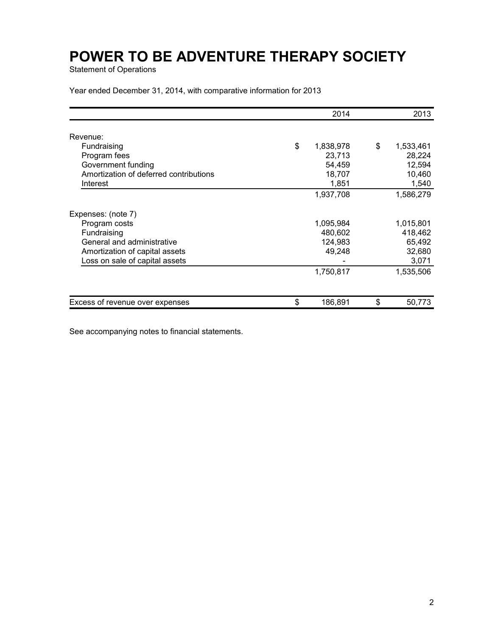Statement of Operations

Year ended December 31, 2014, with comparative information for 2013

|                                        | 2014            | 2013            |
|----------------------------------------|-----------------|-----------------|
| Revenue:                               |                 |                 |
| Fundraising                            | \$<br>1,838,978 | \$<br>1,533,461 |
| Program fees                           | 23,713          | 28,224          |
| Government funding                     | 54,459          | 12,594          |
| Amortization of deferred contributions | 18,707          | 10,460          |
| Interest                               | 1,851           | 1,540           |
|                                        | 1,937,708       | 1,586,279       |
| Expenses: (note 7)                     |                 |                 |
| Program costs                          | 1,095,984       | 1,015,801       |
| Fundraising                            | 480,602         | 418,462         |
| General and administrative             | 124,983         | 65,492          |
| Amortization of capital assets         | 49,248          | 32,680          |
| Loss on sale of capital assets         |                 | 3,071           |
|                                        | 1,750,817       | 1,535,506       |
|                                        |                 |                 |
| Excess of revenue over expenses        | \$<br>186,891   | \$<br>50,773    |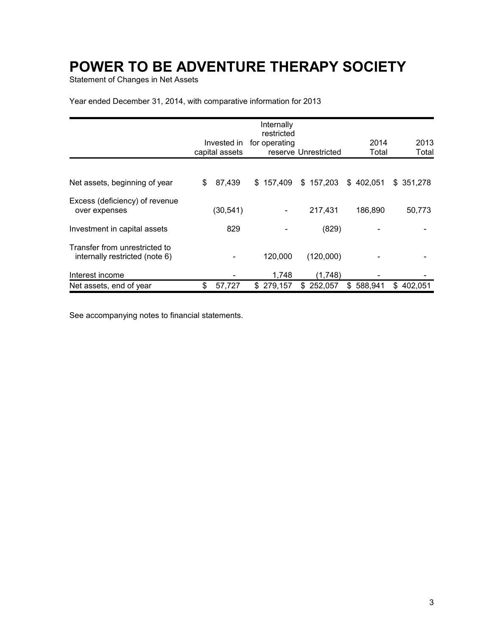Statement of Changes in Net Assets

Year ended December 31, 2014, with comparative information for 2013

|                                                                 |                | Internally<br>restricted |                      |               |               |
|-----------------------------------------------------------------|----------------|--------------------------|----------------------|---------------|---------------|
|                                                                 | Invested in    | for operating            |                      | 2014          | 2013          |
|                                                                 | capital assets |                          | reserve Unrestricted | Total         | Total         |
|                                                                 |                |                          |                      |               |               |
| Net assets, beginning of year                                   | \$<br>87,439   | \$157,409                | \$157,203            | \$402,051     | \$351,278     |
| Excess (deficiency) of revenue<br>over expenses                 | (30, 541)      |                          | 217,431              | 186,890       | 50,773        |
| Investment in capital assets                                    | 829            |                          | (829)                |               |               |
| Transfer from unrestricted to<br>internally restricted (note 6) |                | 120,000                  | (120,000)            |               |               |
| Interest income                                                 |                | 1,748                    | (1,748)              |               |               |
| Net assets, end of year                                         | \$<br>57,727   | \$279,157                | \$252,057            | 588,941<br>\$ | \$<br>402,051 |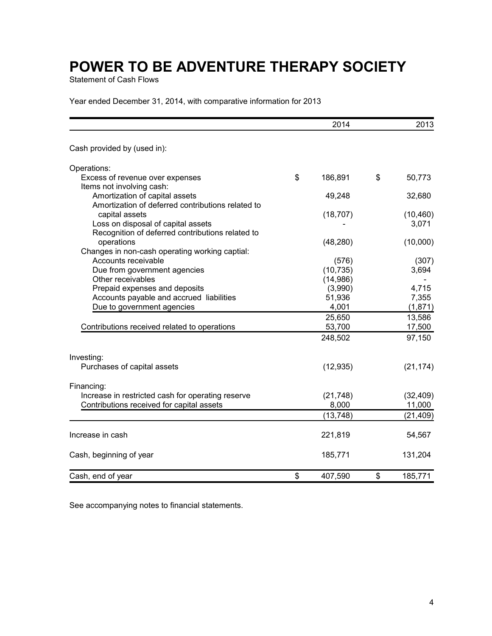Statement of Cash Flows

Year ended December 31, 2014, with comparative information for 2013

|                                                                       | 2014          | 2013          |
|-----------------------------------------------------------------------|---------------|---------------|
| Cash provided by (used in):                                           |               |               |
| Operations:                                                           |               |               |
| Excess of revenue over expenses                                       | \$<br>186,891 | \$<br>50,773  |
| Items not involving cash:                                             |               |               |
| Amortization of capital assets                                        | 49,248        | 32,680        |
| Amortization of deferred contributions related to                     |               |               |
| capital assets                                                        | (18, 707)     | (10, 460)     |
| Loss on disposal of capital assets                                    |               | 3,071         |
| Recognition of deferred contributions related to                      |               |               |
| operations                                                            | (48, 280)     | (10,000)      |
| Changes in non-cash operating working captial:<br>Accounts receivable | (576)         | (307)         |
| Due from government agencies                                          | (10, 735)     | 3,694         |
| Other receivables                                                     | (14, 986)     |               |
| Prepaid expenses and deposits                                         | (3,990)       | 4,715         |
| Accounts payable and accrued liabilities                              | 51,936        | 7,355         |
| Due to government agencies                                            | 4,001         | (1,871)       |
|                                                                       | 25,650        | 13,586        |
| Contributions received related to operations                          | 53,700        | 17,500        |
|                                                                       | 248,502       | 97,150        |
| Investing:                                                            |               |               |
| Purchases of capital assets                                           | (12, 935)     | (21, 174)     |
| Financing:                                                            |               |               |
| Increase in restricted cash for operating reserve                     | (21, 748)     | (32, 409)     |
| Contributions received for capital assets                             | 8,000         | 11,000        |
|                                                                       | (13, 748)     | (21, 409)     |
|                                                                       |               |               |
| Increase in cash                                                      | 221,819       | 54,567        |
| Cash, beginning of year                                               | 185,771       | 131,204       |
| Cash, end of year                                                     | \$<br>407,590 | \$<br>185,771 |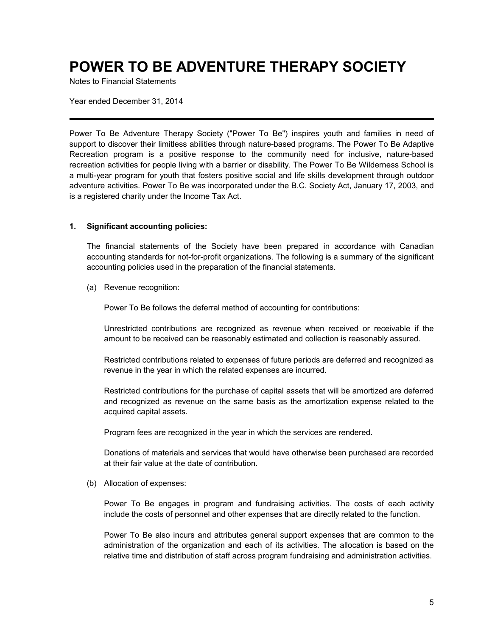Notes to Financial Statements

Year ended December 31, 2014

Power To Be Adventure Therapy Society ("Power To Be") inspires youth and families in need of support to discover their limitless abilities through nature-based programs. The Power To Be Adaptive Recreation program is a positive response to the community need for inclusive, nature-based recreation activities for people living with a barrier or disability. The Power To Be Wilderness School is a multi-year program for youth that fosters positive social and life skills development through outdoor adventure activities. Power To Be was incorporated under the B.C. Society Act, January 17, 2003, and is a registered charity under the Income Tax Act.

### **1. Significant accounting policies:**

The financial statements of the Society have been prepared in accordance with Canadian accounting standards for not-for-profit organizations. The following is a summary of the significant accounting policies used in the preparation of the financial statements.

(a) Revenue recognition:

Power To Be follows the deferral method of accounting for contributions:

Unrestricted contributions are recognized as revenue when received or receivable if the amount to be received can be reasonably estimated and collection is reasonably assured.

Restricted contributions related to expenses of future periods are deferred and recognized as revenue in the year in which the related expenses are incurred.

Restricted contributions for the purchase of capital assets that will be amortized are deferred and recognized as revenue on the same basis as the amortization expense related to the acquired capital assets.

Program fees are recognized in the year in which the services are rendered.

Donations of materials and services that would have otherwise been purchased are recorded at their fair value at the date of contribution.

(b) Allocation of expenses:

Power To Be engages in program and fundraising activities. The costs of each activity include the costs of personnel and other expenses that are directly related to the function.

Power To Be also incurs and attributes general support expenses that are common to the administration of the organization and each of its activities. The allocation is based on the relative time and distribution of staff across program fundraising and administration activities.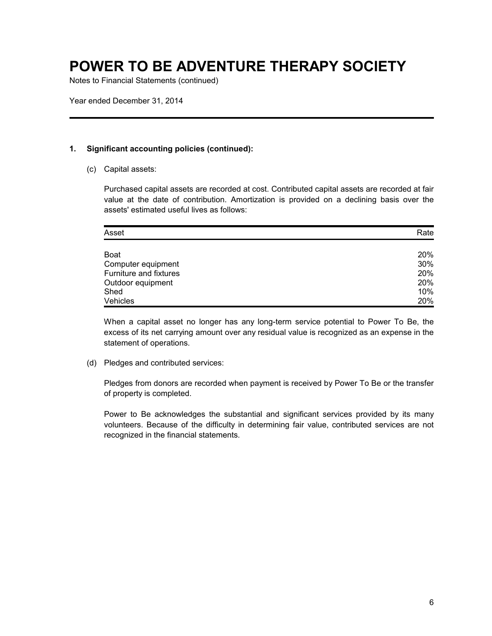Notes to Financial Statements (continued)

Year ended December 31, 2014

### **1. Significant accounting policies (continued):**

(c) Capital assets:

Purchased capital assets are recorded at cost. Contributed capital assets are recorded at fair value at the date of contribution. Amortization is provided on a declining basis over the assets' estimated useful lives as follows:

| Asset                  | Rate |
|------------------------|------|
|                        |      |
| <b>Boat</b>            | 20%  |
| Computer equipment     | 30%  |
| Furniture and fixtures | 20%  |
| Outdoor equipment      | 20%  |
| Shed                   | 10%  |
| Vehicles               | 20%  |

When a capital asset no longer has any long-term service potential to Power To Be, the excess of its net carrying amount over any residual value is recognized as an expense in the statement of operations.

(d) Pledges and contributed services:

Pledges from donors are recorded when payment is received by Power To Be or the transfer of property is completed.

Power to Be acknowledges the substantial and significant services provided by its many volunteers. Because of the difficulty in determining fair value, contributed services are not recognized in the financial statements.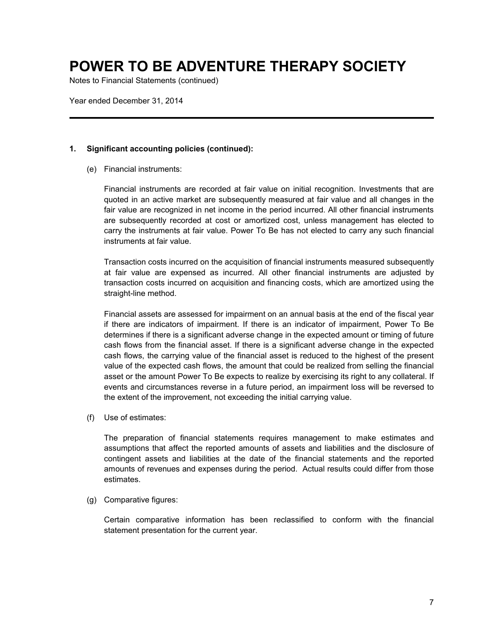Notes to Financial Statements (continued)

Year ended December 31, 2014

#### **1. Significant accounting policies (continued):**

(e) Financial instruments:

Financial instruments are recorded at fair value on initial recognition. Investments that are quoted in an active market are subsequently measured at fair value and all changes in the fair value are recognized in net income in the period incurred. All other financial instruments are subsequently recorded at cost or amortized cost, unless management has elected to carry the instruments at fair value. Power To Be has not elected to carry any such financial instruments at fair value.

Transaction costs incurred on the acquisition of financial instruments measured subsequently at fair value are expensed as incurred. All other financial instruments are adjusted by transaction costs incurred on acquisition and financing costs, which are amortized using the straight-line method.

Financial assets are assessed for impairment on an annual basis at the end of the fiscal year if there are indicators of impairment. If there is an indicator of impairment, Power To Be determines if there is a significant adverse change in the expected amount or timing of future cash flows from the financial asset. If there is a significant adverse change in the expected cash flows, the carrying value of the financial asset is reduced to the highest of the present value of the expected cash flows, the amount that could be realized from selling the financial asset or the amount Power To Be expects to realize by exercising its right to any collateral. If events and circumstances reverse in a future period, an impairment loss will be reversed to the extent of the improvement, not exceeding the initial carrying value.

(f) Use of estimates:

The preparation of financial statements requires management to make estimates and assumptions that affect the reported amounts of assets and liabilities and the disclosure of contingent assets and liabilities at the date of the financial statements and the reported amounts of revenues and expenses during the period. Actual results could differ from those estimates.

(g) Comparative figures:

Certain comparative information has been reclassified to conform with the financial statement presentation for the current year.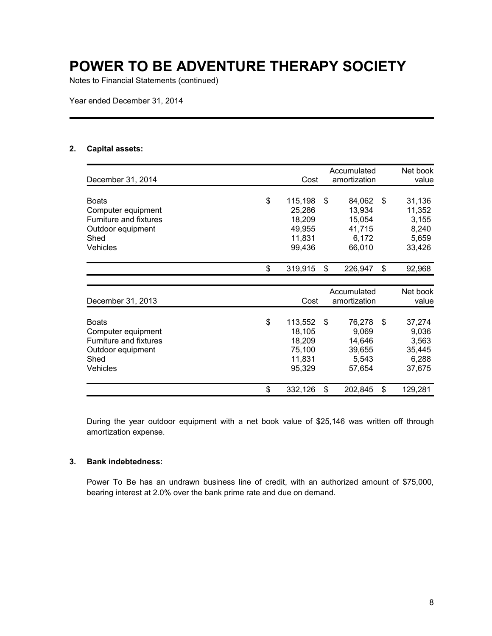Notes to Financial Statements (continued)

Year ended December 31, 2014

### **2. Capital assets:**

| December 31, 2014      | Cost          | Accumulated<br>amortization | Net book<br>value |
|------------------------|---------------|-----------------------------|-------------------|
|                        |               |                             |                   |
| <b>Boats</b>           | \$<br>115,198 | \$<br>84,062                | \$<br>31,136      |
| Computer equipment     | 25,286        | 13,934                      | 11,352            |
| Furniture and fixtures | 18,209        | 15,054                      | 3,155             |
| Outdoor equipment      | 49,955        | 41,715                      | 8,240             |
| Shed                   | 11,831        | 6,172                       | 5,659             |
| <b>Vehicles</b>        | 99,436        | 66,010                      | 33,426            |
|                        | \$<br>319,915 | \$<br>226,947               | \$<br>92,968      |
|                        |               |                             |                   |
|                        |               | Accumulated                 | Net book          |
| December 31, 2013      | Cost          | amortization                | value             |
| <b>Boats</b>           | \$<br>113,552 | \$<br>76,278                | \$<br>37,274      |
| Computer equipment     | 18,105        | 9,069                       | 9,036             |
| Furniture and fixtures | 18,209        | 14,646                      | 3,563             |
| Outdoor equipment      | 75,100        | 39,655                      | 35,445            |
| Shed                   | 11,831        | 5,543                       | 6,288             |
| Vehicles               | 95,329        | 57,654                      | 37,675            |
|                        | \$<br>332,126 | \$<br>202,845               | \$<br>129,281     |

During the year outdoor equipment with a net book value of \$25,146 was written off through amortization expense.

### **3. Bank indebtedness:**

Power To Be has an undrawn business line of credit, with an authorized amount of \$75,000, bearing interest at 2.0% over the bank prime rate and due on demand.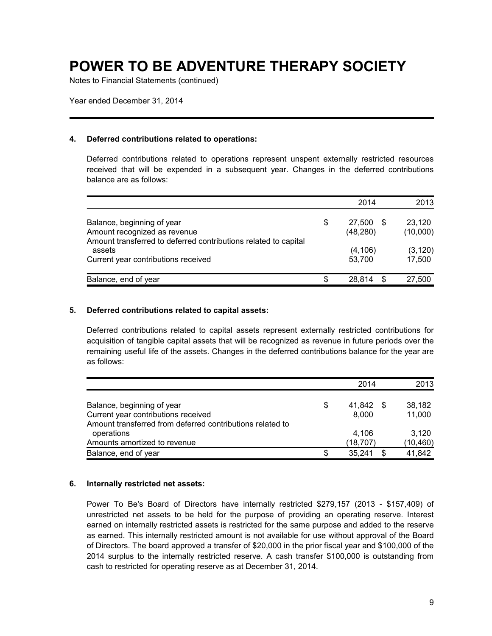Notes to Financial Statements (continued)

Year ended December 31, 2014

#### **4. Deferred contributions related to operations:**

Deferred contributions related to operations represent unspent externally restricted resources received that will be expended in a subsequent year. Changes in the deferred contributions balance are as follows:

|                                                                                                                               |    | 2014                        | 2013               |
|-------------------------------------------------------------------------------------------------------------------------------|----|-----------------------------|--------------------|
| Balance, beginning of year<br>Amount recognized as revenue<br>Amount transferred to deferred contributions related to capital | \$ | 27,500<br>- \$<br>(48, 280) | 23,120<br>(10,000) |
| assets<br>Current year contributions received                                                                                 |    | (4, 106)<br>53,700          | (3, 120)<br>17,500 |
| Balance, end of year                                                                                                          | S  | 28.814<br>\$                | 27,500             |

### **5. Deferred contributions related to capital assets:**

Deferred contributions related to capital assets represent externally restricted contributions for acquisition of tangible capital assets that will be recognized as revenue in future periods over the remaining useful life of the assets. Changes in the deferred contributions balance for the year are as follows:

|                                                                   |    | 2014              |      | 2013               |
|-------------------------------------------------------------------|----|-------------------|------|--------------------|
| Balance, beginning of year<br>Current year contributions received | \$ | 41.842<br>8.000   | - \$ | 38.182<br>11,000   |
| Amount transferred from deferred contributions related to         |    |                   |      |                    |
| operations<br>Amounts amortized to revenue                        |    | 4.106<br>(18,707) |      | 3.120<br>(10, 460) |
| Balance, end of year                                              | S  | 35.241            | S    | 41.842             |

#### **6. Internally restricted net assets:**

Power To Be's Board of Directors have internally restricted \$279,157 (2013 - \$157,409) of unrestricted net assets to be held for the purpose of providing an operating reserve. Interest earned on internally restricted assets is restricted for the same purpose and added to the reserve as earned. This internally restricted amount is not available for use without approval of the Board of Directors. The board approved a transfer of \$20,000 in the prior fiscal year and \$100,000 of the 2014 surplus to the internally restricted reserve. A cash transfer \$100,000 is outstanding from cash to restricted for operating reserve as at December 31, 2014.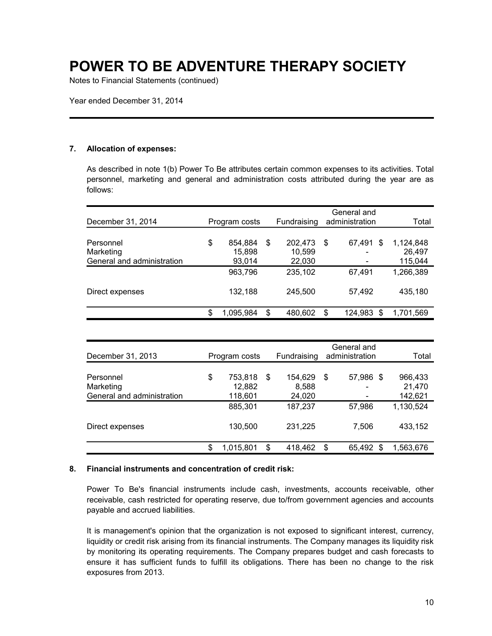Notes to Financial Statements (continued)

Year ended December 31, 2014

#### **7. Allocation of expenses:**

As described in note 1(b) Power To Be attributes certain common expenses to its activities. Total personnel, marketing and general and administration costs attributed during the year are as follows:

| December 31, 2014          | Program costs   |    | Fundraising |    | General and<br>administration | Total     |
|----------------------------|-----------------|----|-------------|----|-------------------------------|-----------|
|                            |                 |    |             |    |                               |           |
| Personnel                  | \$<br>854,884   | \$ | 202,473     | \$ | 67.491<br>S                   | 1,124,848 |
| Marketing                  | 15,898          |    | 10,599      |    |                               | 26,497    |
| General and administration | 93,014          |    | 22,030      |    |                               | 115,044   |
|                            | 963,796         |    | 235,102     |    | 67,491                        | 1,266,389 |
| Direct expenses            | 132,188         |    | 245,500     |    | 57,492                        | 435,180   |
|                            | \$<br>1,095,984 | S  | 480,602     | S  | 124.983<br>\$                 | 1,701,569 |

| December 31, 2013          | Program costs           |    | Fundraising       |    | General and<br>administration | Total                |
|----------------------------|-------------------------|----|-------------------|----|-------------------------------|----------------------|
| Personnel<br>Marketing     | \$<br>753,818<br>12,882 | \$ | 154,629<br>8,588  | S  | 57,986 \$                     | 966,433<br>21,470    |
| General and administration | 118,601<br>885,301      |    | 24,020<br>187,237 |    | 57.986                        | 142,621<br>1,130,524 |
| Direct expenses            | 130,500                 |    | 231.225           |    | 7,506                         | 433,152              |
|                            | \$<br>1,015,801         | S  | 418,462           | \$ | 65,492<br>S                   | 1,563,676            |

#### **8. Financial instruments and concentration of credit risk:**

Power To Be's financial instruments include cash, investments, accounts receivable, other receivable, cash restricted for operating reserve, due to/from government agencies and accounts payable and accrued liabilities.

It is management's opinion that the organization is not exposed to significant interest, currency, liquidity or credit risk arising from its financial instruments. The Company manages its liquidity risk by monitoring its operating requirements. The Company prepares budget and cash forecasts to ensure it has sufficient funds to fulfill its obligations. There has been no change to the risk exposures from 2013.